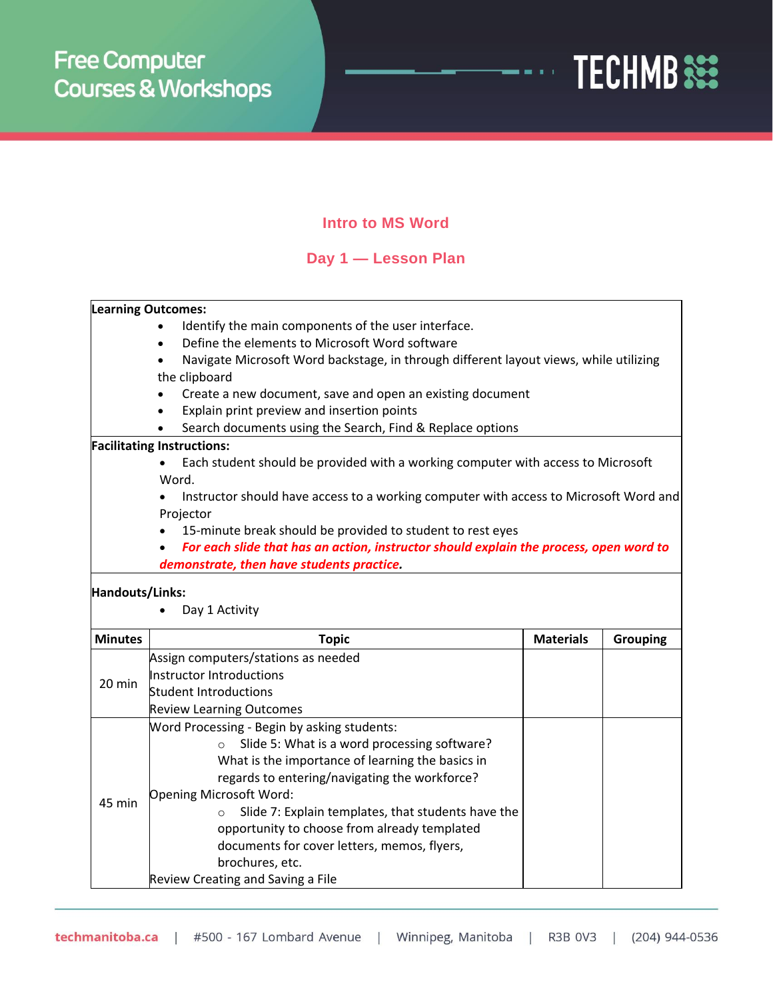

## **Intro to MS Word**

## **Day 1 — Lesson Plan**

|                                   | <b>Learning Outcomes:</b>                                                              |                  |                 |  |  |  |  |
|-----------------------------------|----------------------------------------------------------------------------------------|------------------|-----------------|--|--|--|--|
|                                   | Identify the main components of the user interface.                                    |                  |                 |  |  |  |  |
|                                   | Define the elements to Microsoft Word software                                         |                  |                 |  |  |  |  |
|                                   | Navigate Microsoft Word backstage, in through different layout views, while utilizing  |                  |                 |  |  |  |  |
|                                   | the clipboard                                                                          |                  |                 |  |  |  |  |
|                                   | Create a new document, save and open an existing document                              |                  |                 |  |  |  |  |
|                                   | Explain print preview and insertion points                                             |                  |                 |  |  |  |  |
|                                   | Search documents using the Search, Find & Replace options                              |                  |                 |  |  |  |  |
|                                   | <b>Facilitating Instructions:</b>                                                      |                  |                 |  |  |  |  |
|                                   | Each student should be provided with a working computer with access to Microsoft       |                  |                 |  |  |  |  |
|                                   | Word.                                                                                  |                  |                 |  |  |  |  |
|                                   | Instructor should have access to a working computer with access to Microsoft Word and  |                  |                 |  |  |  |  |
|                                   | Projector                                                                              |                  |                 |  |  |  |  |
|                                   | 15-minute break should be provided to student to rest eyes                             |                  |                 |  |  |  |  |
|                                   | For each slide that has an action, instructor should explain the process, open word to |                  |                 |  |  |  |  |
|                                   | demonstrate, then have students practice.                                              |                  |                 |  |  |  |  |
| Handouts/Links:<br>Day 1 Activity |                                                                                        |                  |                 |  |  |  |  |
| <b>Minutes</b>                    | <b>Topic</b>                                                                           | <b>Materials</b> | <b>Grouping</b> |  |  |  |  |
|                                   | Assign computers/stations as needed                                                    |                  |                 |  |  |  |  |
| 20 min                            | Instructor Introductions                                                               |                  |                 |  |  |  |  |
|                                   | <b>Student Introductions</b>                                                           |                  |                 |  |  |  |  |
|                                   | <b>Review Learning Outcomes</b>                                                        |                  |                 |  |  |  |  |
|                                   | <b>Mord Processing - Begin by asking students:</b>                                     |                  |                 |  |  |  |  |
|                                   | Slide 5: What is a word processing software?<br>$\circ$                                |                  |                 |  |  |  |  |
|                                   | What is the importance of learning the basics in                                       |                  |                 |  |  |  |  |
|                                   | regards to entering/navigating the workforce?                                          |                  |                 |  |  |  |  |
| 45 min                            | <b>Opening Microsoft Word:</b>                                                         |                  |                 |  |  |  |  |
|                                   | Slide 7: Explain templates, that students have the                                     |                  |                 |  |  |  |  |
|                                   | opportunity to choose from already templated                                           |                  |                 |  |  |  |  |
|                                   | documents for cover letters, memos, flyers,                                            |                  |                 |  |  |  |  |
|                                   | brochures, etc.                                                                        |                  |                 |  |  |  |  |
|                                   | Review Creating and Saving a File                                                      |                  |                 |  |  |  |  |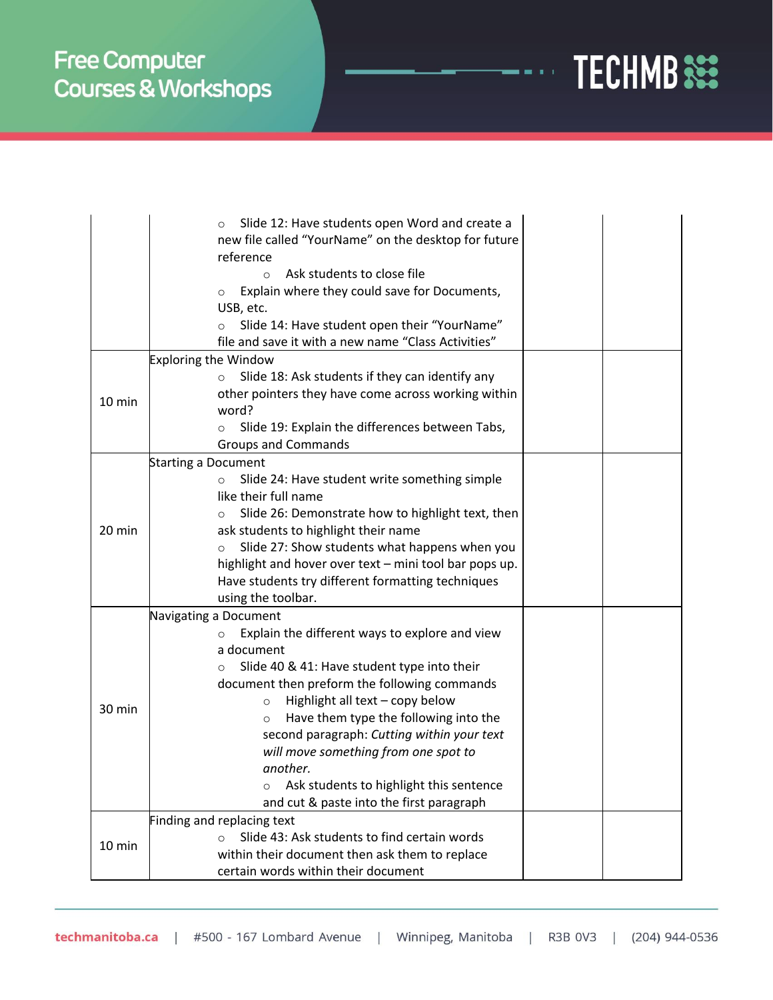

|                            | Slide 12: Have students open Word and create a<br>$\circ$<br>new file called "YourName" on the desktop for future<br>reference<br>Ask students to close file<br>$\Omega$<br>Explain where they could save for Documents,<br>$\circ$<br>USB, etc.<br>Slide 14: Have student open their "YourName"<br>$\circ$<br>file and save it with a new name "Class Activities"                                                                                                                      |  |  |  |  |
|----------------------------|-----------------------------------------------------------------------------------------------------------------------------------------------------------------------------------------------------------------------------------------------------------------------------------------------------------------------------------------------------------------------------------------------------------------------------------------------------------------------------------------|--|--|--|--|
|                            | <b>Exploring the Window</b>                                                                                                                                                                                                                                                                                                                                                                                                                                                             |  |  |  |  |
| $10 \text{ min}$           | Slide 18: Ask students if they can identify any<br>$\circ$<br>other pointers they have come across working within<br>word?<br>Slide 19: Explain the differences between Tabs,<br>$\circ$<br><b>Groups and Commands</b>                                                                                                                                                                                                                                                                  |  |  |  |  |
| <b>Starting a Document</b> |                                                                                                                                                                                                                                                                                                                                                                                                                                                                                         |  |  |  |  |
| 20 min                     | Slide 24: Have student write something simple<br>$\circ$<br>like their full name<br>Slide 26: Demonstrate how to highlight text, then<br>$\circ$<br>ask students to highlight their name<br>Slide 27: Show students what happens when you<br>$\circ$<br>highlight and hover over text - mini tool bar pops up.<br>Have students try different formatting techniques<br>using the toolbar.                                                                                               |  |  |  |  |
|                            | Navigating a Document                                                                                                                                                                                                                                                                                                                                                                                                                                                                   |  |  |  |  |
| 30 min                     | Explain the different ways to explore and view<br>$\circ$<br>a document<br>Slide 40 & 41: Have student type into their<br>$\circ$<br>document then preform the following commands<br>Highlight all text - copy below<br>$\circ$<br>Have them type the following into the<br>$\circ$<br>second paragraph: Cutting within your text<br>will move something from one spot to<br>another.<br>Ask students to highlight this sentence<br>$\circ$<br>and cut & paste into the first paragraph |  |  |  |  |
|                            | Finding and replacing text                                                                                                                                                                                                                                                                                                                                                                                                                                                              |  |  |  |  |
| 10 min                     | Slide 43: Ask students to find certain words<br>$\Omega$                                                                                                                                                                                                                                                                                                                                                                                                                                |  |  |  |  |
|                            | within their document then ask them to replace<br>certain words within their document                                                                                                                                                                                                                                                                                                                                                                                                   |  |  |  |  |